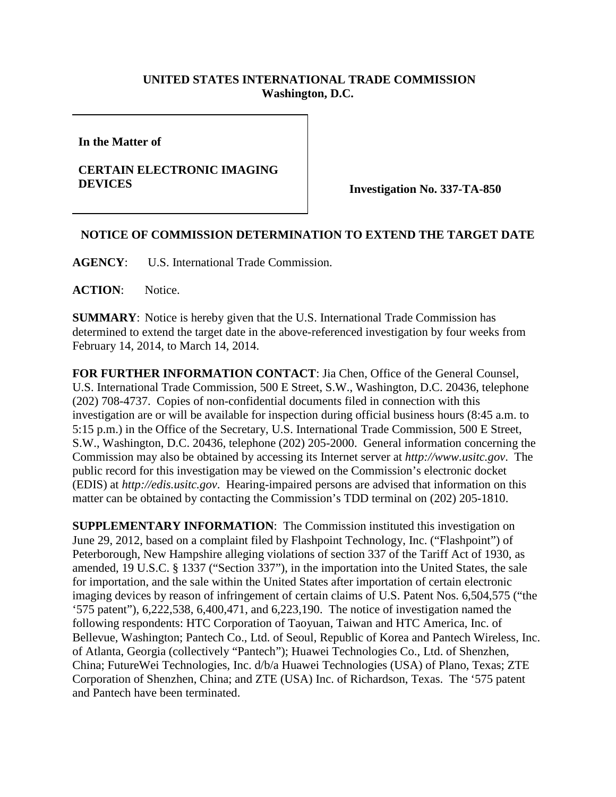## **UNITED STATES INTERNATIONAL TRADE COMMISSION Washington, D.C.**

**In the Matter of** 

## **CERTAIN ELECTRONIC IMAGING DEVICES Investigation No. 337-TA-850**

## **NOTICE OF COMMISSION DETERMINATION TO EXTEND THE TARGET DATE**

**AGENCY**: U.S. International Trade Commission.

**ACTION**: Notice.

**SUMMARY**: Notice is hereby given that the U.S. International Trade Commission has determined to extend the target date in the above-referenced investigation by four weeks from February 14, 2014, to March 14, 2014.

**FOR FURTHER INFORMATION CONTACT**: Jia Chen, Office of the General Counsel, U.S. International Trade Commission, 500 E Street, S.W., Washington, D.C. 20436, telephone (202) 708-4737. Copies of non-confidential documents filed in connection with this investigation are or will be available for inspection during official business hours (8:45 a.m. to 5:15 p.m.) in the Office of the Secretary, U.S. International Trade Commission, 500 E Street, S.W., Washington, D.C. 20436, telephone (202) 205-2000. General information concerning the Commission may also be obtained by accessing its Internet server at *http://www.usitc.gov*. The public record for this investigation may be viewed on the Commission's electronic docket (EDIS) at *http://edis.usitc.gov*. Hearing-impaired persons are advised that information on this matter can be obtained by contacting the Commission's TDD terminal on (202) 205-1810.

**SUPPLEMENTARY INFORMATION**: The Commission instituted this investigation on June 29, 2012, based on a complaint filed by Flashpoint Technology, Inc. ("Flashpoint") of Peterborough, New Hampshire alleging violations of section 337 of the Tariff Act of 1930, as amended, 19 U.S.C. § 1337 ("Section 337"), in the importation into the United States, the sale for importation, and the sale within the United States after importation of certain electronic imaging devices by reason of infringement of certain claims of U.S. Patent Nos. 6,504,575 ("the '575 patent"), 6,222,538, 6,400,471, and 6,223,190. The notice of investigation named the following respondents: HTC Corporation of Taoyuan, Taiwan and HTC America, Inc. of Bellevue, Washington; Pantech Co., Ltd. of Seoul, Republic of Korea and Pantech Wireless, Inc. of Atlanta, Georgia (collectively "Pantech"); Huawei Technologies Co., Ltd. of Shenzhen, China; FutureWei Technologies, Inc. d/b/a Huawei Technologies (USA) of Plano, Texas; ZTE Corporation of Shenzhen, China; and ZTE (USA) Inc. of Richardson, Texas. The '575 patent and Pantech have been terminated.